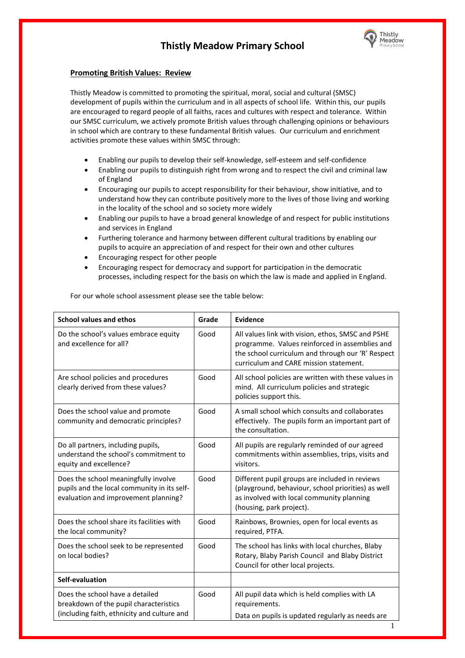## **Thistly Meadow Primary School**



## **Promoting British Values: Review**

Thistly Meadow is committed to promoting the spiritual, moral, social and cultural (SMSC) development of pupils within the curriculum and in all aspects of school life. Within this, our pupils are encouraged to regard people of all faiths, races and cultures with respect and tolerance. Within our SMSC curriculum, we actively promote British values through challenging opinions or behaviours in school which are contrary to these fundamental British values. Our curriculum and enrichment activities promote these values within SMSC through:

- Enabling our pupils to develop their self-knowledge, self-esteem and self-confidence
- Enabling our pupils to distinguish right from wrong and to respect the civil and criminal law of England
- Encouraging our pupils to accept responsibility for their behaviour, show initiative, and to understand how they can contribute positively more to the lives of those living and working in the locality of the school and so society more widely
- Enabling our pupils to have a broad general knowledge of and respect for public institutions and services in England
- Furthering tolerance and harmony between different cultural traditions by enabling our pupils to acquire an appreciation of and respect for their own and other cultures
- Encouraging respect for other people
- Encouraging respect for democracy and support for participation in the democratic processes, including respect for the basis on which the law is made and applied in England.

For our whole school assessment please see the table below:

| <b>School values and ethos</b>                                                                                              | Grade | Evidence                                                                                                                                                                                           |
|-----------------------------------------------------------------------------------------------------------------------------|-------|----------------------------------------------------------------------------------------------------------------------------------------------------------------------------------------------------|
| Do the school's values embrace equity<br>and excellence for all?                                                            | Good  | All values link with vision, ethos, SMSC and PSHE<br>programme. Values reinforced in assemblies and<br>the school curriculum and through our 'R' Respect<br>curriculum and CARE mission statement. |
| Are school policies and procedures<br>clearly derived from these values?                                                    | Good  | All school policies are written with these values in<br>mind. All curriculum policies and strategic<br>policies support this.                                                                      |
| Does the school value and promote<br>community and democratic principles?                                                   | Good  | A small school which consults and collaborates<br>effectively. The pupils form an important part of<br>the consultation.                                                                           |
| Do all partners, including pupils,<br>understand the school's commitment to<br>equity and excellence?                       | Good  | All pupils are regularly reminded of our agreed<br>commitments within assemblies, trips, visits and<br>visitors.                                                                                   |
| Does the school meaningfully involve<br>pupils and the local community in its self-<br>evaluation and improvement planning? | Good  | Different pupil groups are included in reviews<br>(playground, behaviour, school priorities) as well<br>as involved with local community planning<br>(housing, park project).                      |
| Does the school share its facilities with<br>the local community?                                                           | Good  | Rainbows, Brownies, open for local events as<br>required, PTFA.                                                                                                                                    |
| Does the school seek to be represented<br>on local bodies?                                                                  | Good  | The school has links with local churches, Blaby<br>Rotary, Blaby Parish Council and Blaby District<br>Council for other local projects.                                                            |
| Self-evaluation                                                                                                             |       |                                                                                                                                                                                                    |
| Does the school have a detailed<br>breakdown of the pupil characteristics<br>(including faith, ethnicity and culture and    | Good  | All pupil data which is held complies with LA<br>requirements.<br>Data on pupils is updated regularly as needs are                                                                                 |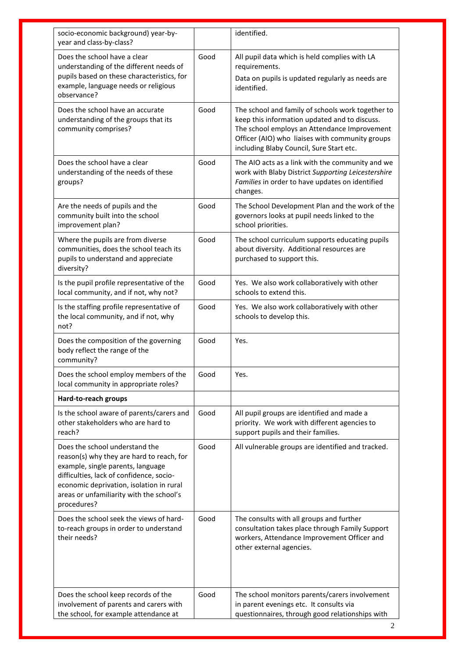| socio-economic background) year-by-<br>year and class-by-class?                                                                                                                                                                                                     |      | identified.                                                                                                                                                                                                                                       |
|---------------------------------------------------------------------------------------------------------------------------------------------------------------------------------------------------------------------------------------------------------------------|------|---------------------------------------------------------------------------------------------------------------------------------------------------------------------------------------------------------------------------------------------------|
| Does the school have a clear<br>understanding of the different needs of<br>pupils based on these characteristics, for<br>example, language needs or religious<br>observance?                                                                                        | Good | All pupil data which is held complies with LA<br>requirements.<br>Data on pupils is updated regularly as needs are<br>identified.                                                                                                                 |
| Does the school have an accurate<br>understanding of the groups that its<br>community comprises?                                                                                                                                                                    | Good | The school and family of schools work together to<br>keep this information updated and to discuss.<br>The school employs an Attendance Improvement<br>Officer (AIO) who liaises with community groups<br>including Blaby Council, Sure Start etc. |
| Does the school have a clear<br>understanding of the needs of these<br>groups?                                                                                                                                                                                      | Good | The AIO acts as a link with the community and we<br>work with Blaby District Supporting Leicestershire<br>Families in order to have updates on identified<br>changes.                                                                             |
| Are the needs of pupils and the<br>community built into the school<br>improvement plan?                                                                                                                                                                             | Good | The School Development Plan and the work of the<br>governors looks at pupil needs linked to the<br>school priorities.                                                                                                                             |
| Where the pupils are from diverse<br>communities, does the school teach its<br>pupils to understand and appreciate<br>diversity?                                                                                                                                    | Good | The school curriculum supports educating pupils<br>about diversity. Additional resources are<br>purchased to support this.                                                                                                                        |
| Is the pupil profile representative of the<br>local community, and if not, why not?                                                                                                                                                                                 | Good | Yes. We also work collaboratively with other<br>schools to extend this.                                                                                                                                                                           |
| Is the staffing profile representative of<br>the local community, and if not, why<br>not?                                                                                                                                                                           | Good | Yes. We also work collaboratively with other<br>schools to develop this.                                                                                                                                                                          |
| Does the composition of the governing<br>body reflect the range of the<br>community?                                                                                                                                                                                | Good | Yes.                                                                                                                                                                                                                                              |
| Does the school employ members of the<br>local community in appropriate roles?                                                                                                                                                                                      | Good | Yes.                                                                                                                                                                                                                                              |
| Hard-to-reach groups                                                                                                                                                                                                                                                |      |                                                                                                                                                                                                                                                   |
| Is the school aware of parents/carers and<br>other stakeholders who are hard to<br>reach?                                                                                                                                                                           | Good | All pupil groups are identified and made a<br>priority. We work with different agencies to<br>support pupils and their families.                                                                                                                  |
| Does the school understand the<br>reason(s) why they are hard to reach, for<br>example, single parents, language<br>difficulties, lack of confidence, socio-<br>economic deprivation, isolation in rural<br>areas or unfamiliarity with the school's<br>procedures? | Good | All vulnerable groups are identified and tracked.                                                                                                                                                                                                 |
| Does the school seek the views of hard-<br>to-reach groups in order to understand<br>their needs?                                                                                                                                                                   | Good | The consults with all groups and further<br>consultation takes place through Family Support<br>workers, Attendance Improvement Officer and<br>other external agencies.                                                                            |
| Does the school keep records of the<br>involvement of parents and carers with<br>the school, for example attendance at                                                                                                                                              | Good | The school monitors parents/carers involvement<br>in parent evenings etc. It consults via<br>questionnaires, through good relationships with                                                                                                      |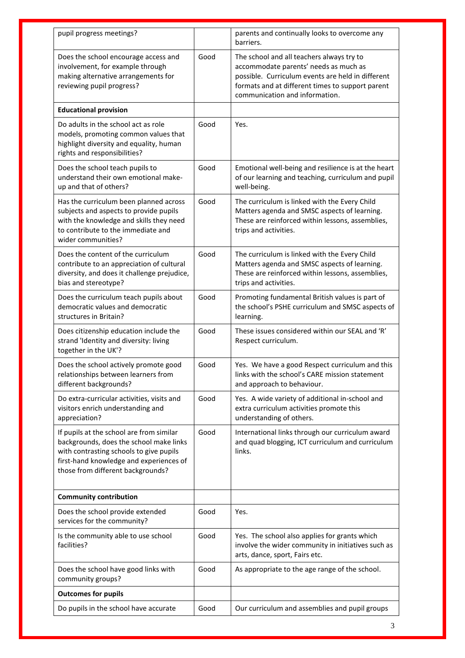| pupil progress meetings?                                                                                                                                                                                       |      | parents and continually looks to overcome any<br>barriers.                                                                                                                                                                    |
|----------------------------------------------------------------------------------------------------------------------------------------------------------------------------------------------------------------|------|-------------------------------------------------------------------------------------------------------------------------------------------------------------------------------------------------------------------------------|
| Does the school encourage access and<br>involvement, for example through<br>making alternative arrangements for<br>reviewing pupil progress?                                                                   | Good | The school and all teachers always try to<br>accommodate parents' needs as much as<br>possible. Curriculum events are held in different<br>formats and at different times to support parent<br>communication and information. |
| <b>Educational provision</b>                                                                                                                                                                                   |      |                                                                                                                                                                                                                               |
| Do adults in the school act as role<br>models, promoting common values that<br>highlight diversity and equality, human<br>rights and responsibilities?                                                         | Good | Yes.                                                                                                                                                                                                                          |
| Does the school teach pupils to<br>understand their own emotional make-<br>up and that of others?                                                                                                              | Good | Emotional well-being and resilience is at the heart<br>of our learning and teaching, curriculum and pupil<br>well-being.                                                                                                      |
| Has the curriculum been planned across<br>subjects and aspects to provide pupils<br>with the knowledge and skills they need<br>to contribute to the immediate and<br>wider communities?                        | Good | The curriculum is linked with the Every Child<br>Matters agenda and SMSC aspects of learning.<br>These are reinforced within lessons, assemblies,<br>trips and activities.                                                    |
| Does the content of the curriculum<br>contribute to an appreciation of cultural<br>diversity, and does it challenge prejudice,<br>bias and stereotype?                                                         | Good | The curriculum is linked with the Every Child<br>Matters agenda and SMSC aspects of learning.<br>These are reinforced within lessons, assemblies,<br>trips and activities.                                                    |
| Does the curriculum teach pupils about<br>democratic values and democratic<br>structures in Britain?                                                                                                           | Good | Promoting fundamental British values is part of<br>the school's PSHE curriculum and SMSC aspects of<br>learning.                                                                                                              |
| Does citizenship education include the<br>strand 'Identity and diversity: living<br>together in the UK'?                                                                                                       | Good | These issues considered within our SEAL and 'R'<br>Respect curriculum.                                                                                                                                                        |
| Does the school actively promote good<br>relationships between learners from<br>different backgrounds?                                                                                                         | Good | Yes. We have a good Respect curriculum and this<br>links with the school's CARE mission statement<br>and approach to behaviour.                                                                                               |
| Do extra-curricular activities, visits and<br>visitors enrich understanding and<br>appreciation?                                                                                                               | Good | Yes. A wide variety of additional in-school and<br>extra curriculum activities promote this<br>understanding of others.                                                                                                       |
| If pupils at the school are from similar<br>backgrounds, does the school make links<br>with contrasting schools to give pupils<br>first-hand knowledge and experiences of<br>those from different backgrounds? | Good | International links through our curriculum award<br>and quad blogging, ICT curriculum and curriculum<br>links.                                                                                                                |
| <b>Community contribution</b>                                                                                                                                                                                  |      |                                                                                                                                                                                                                               |
| Does the school provide extended<br>services for the community?                                                                                                                                                | Good | Yes.                                                                                                                                                                                                                          |
| Is the community able to use school<br>facilities?                                                                                                                                                             | Good | Yes. The school also applies for grants which<br>involve the wider community in initiatives such as<br>arts, dance, sport, Fairs etc.                                                                                         |
| Does the school have good links with<br>community groups?                                                                                                                                                      | Good | As appropriate to the age range of the school.                                                                                                                                                                                |
| <b>Outcomes for pupils</b>                                                                                                                                                                                     |      |                                                                                                                                                                                                                               |
| Do pupils in the school have accurate                                                                                                                                                                          | Good | Our curriculum and assemblies and pupil groups                                                                                                                                                                                |